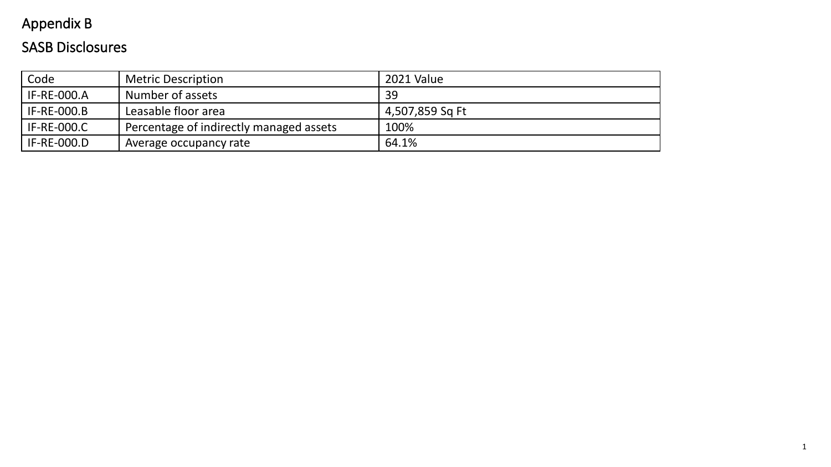# Appendix B

## SASB Disclosures

| Code               | <b>Metric Description</b>               | 2021 Value      |
|--------------------|-----------------------------------------|-----------------|
| <b>IF-RE-000.A</b> | Number of assets                        | 39              |
| <b>IF-RE-000.B</b> | Leasable floor area                     | 4,507,859 Sq Ft |
| <b>IF-RE-000.C</b> | Percentage of indirectly managed assets | 100%            |
| <b>IF-RE-000.D</b> | Average occupancy rate                  | 64.1%           |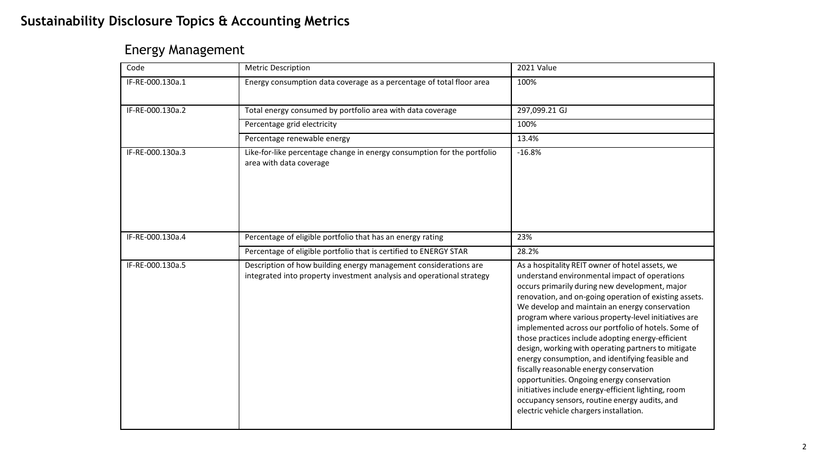#### **Sustainability Disclosure Topics & Accounting Metrics**

#### Energy Management

| Code             | <b>Metric Description</b>                                                                                                                 | 2021 Value                                                                                                                                                                                                                                                                                                                                                                                                                                                                                                                                                                                                                                                                                                                                                                                |
|------------------|-------------------------------------------------------------------------------------------------------------------------------------------|-------------------------------------------------------------------------------------------------------------------------------------------------------------------------------------------------------------------------------------------------------------------------------------------------------------------------------------------------------------------------------------------------------------------------------------------------------------------------------------------------------------------------------------------------------------------------------------------------------------------------------------------------------------------------------------------------------------------------------------------------------------------------------------------|
| IF-RE-000.130a.1 | Energy consumption data coverage as a percentage of total floor area                                                                      | 100%                                                                                                                                                                                                                                                                                                                                                                                                                                                                                                                                                                                                                                                                                                                                                                                      |
| IF-RE-000.130a.2 | Total energy consumed by portfolio area with data coverage                                                                                | 297,099.21 GJ                                                                                                                                                                                                                                                                                                                                                                                                                                                                                                                                                                                                                                                                                                                                                                             |
|                  | Percentage grid electricity                                                                                                               | 100%                                                                                                                                                                                                                                                                                                                                                                                                                                                                                                                                                                                                                                                                                                                                                                                      |
|                  | Percentage renewable energy                                                                                                               | 13.4%                                                                                                                                                                                                                                                                                                                                                                                                                                                                                                                                                                                                                                                                                                                                                                                     |
| IF-RE-000.130a.3 | Like-for-like percentage change in energy consumption for the portfolio<br>area with data coverage                                        | $-16.8%$                                                                                                                                                                                                                                                                                                                                                                                                                                                                                                                                                                                                                                                                                                                                                                                  |
| IF-RE-000.130a.4 | Percentage of eligible portfolio that has an energy rating                                                                                | 23%                                                                                                                                                                                                                                                                                                                                                                                                                                                                                                                                                                                                                                                                                                                                                                                       |
|                  | Percentage of eligible portfolio that is certified to ENERGY STAR                                                                         | 28.2%                                                                                                                                                                                                                                                                                                                                                                                                                                                                                                                                                                                                                                                                                                                                                                                     |
| IF-RE-000.130a.5 | Description of how building energy management considerations are<br>integrated into property investment analysis and operational strategy | As a hospitality REIT owner of hotel assets, we<br>understand environmental impact of operations<br>occurs primarily during new development, major<br>renovation, and on-going operation of existing assets.<br>We develop and maintain an energy conservation<br>program where various property-level initiatives are<br>implemented across our portfolio of hotels. Some of<br>those practices include adopting energy-efficient<br>design, working with operating partners to mitigate<br>energy consumption, and identifying feasible and<br>fiscally reasonable energy conservation<br>opportunities. Ongoing energy conservation<br>initiatives include energy-efficient lighting, room<br>occupancy sensors, routine energy audits, and<br>electric vehicle chargers installation. |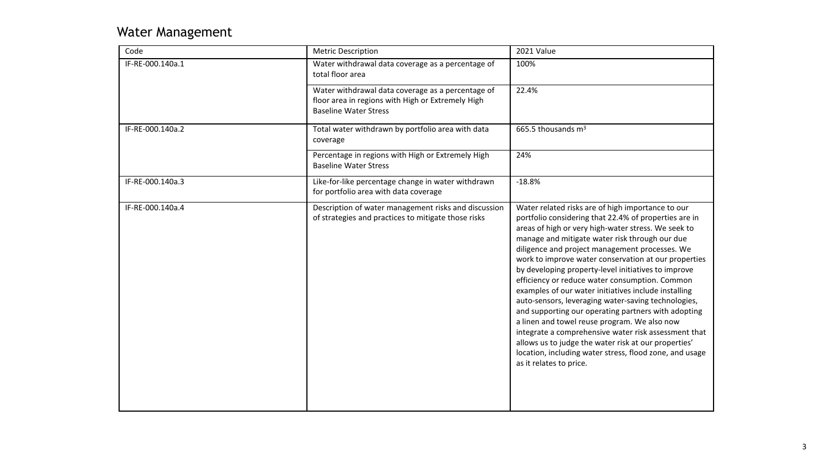#### Water Management

| Code             | <b>Metric Description</b>                                                                                                              | 2021 Value                                                                                                                                                                                                                                                                                                                                                                                                                                                                                                                                                                                                                                                                                                                                                                                                                                                         |
|------------------|----------------------------------------------------------------------------------------------------------------------------------------|--------------------------------------------------------------------------------------------------------------------------------------------------------------------------------------------------------------------------------------------------------------------------------------------------------------------------------------------------------------------------------------------------------------------------------------------------------------------------------------------------------------------------------------------------------------------------------------------------------------------------------------------------------------------------------------------------------------------------------------------------------------------------------------------------------------------------------------------------------------------|
| IF-RE-000.140a.1 | Water withdrawal data coverage as a percentage of<br>total floor area                                                                  | 100%                                                                                                                                                                                                                                                                                                                                                                                                                                                                                                                                                                                                                                                                                                                                                                                                                                                               |
|                  | Water withdrawal data coverage as a percentage of<br>floor area in regions with High or Extremely High<br><b>Baseline Water Stress</b> | 22.4%                                                                                                                                                                                                                                                                                                                                                                                                                                                                                                                                                                                                                                                                                                                                                                                                                                                              |
| IF-RE-000.140a.2 | Total water withdrawn by portfolio area with data<br>coverage                                                                          | 665.5 thousands $m3$                                                                                                                                                                                                                                                                                                                                                                                                                                                                                                                                                                                                                                                                                                                                                                                                                                               |
|                  | Percentage in regions with High or Extremely High<br><b>Baseline Water Stress</b>                                                      | 24%                                                                                                                                                                                                                                                                                                                                                                                                                                                                                                                                                                                                                                                                                                                                                                                                                                                                |
| IF-RE-000.140a.3 | Like-for-like percentage change in water withdrawn<br>for portfolio area with data coverage                                            | $-18.8%$                                                                                                                                                                                                                                                                                                                                                                                                                                                                                                                                                                                                                                                                                                                                                                                                                                                           |
| IF-RE-000.140a.4 | Description of water management risks and discussion<br>of strategies and practices to mitigate those risks                            | Water related risks are of high importance to our<br>portfolio considering that 22.4% of properties are in<br>areas of high or very high-water stress. We seek to<br>manage and mitigate water risk through our due<br>diligence and project management processes. We<br>work to improve water conservation at our properties<br>by developing property-level initiatives to improve<br>efficiency or reduce water consumption. Common<br>examples of our water initiatives include installing<br>auto-sensors, leveraging water-saving technologies,<br>and supporting our operating partners with adopting<br>a linen and towel reuse program. We also now<br>integrate a comprehensive water risk assessment that<br>allows us to judge the water risk at our properties'<br>location, including water stress, flood zone, and usage<br>as it relates to price. |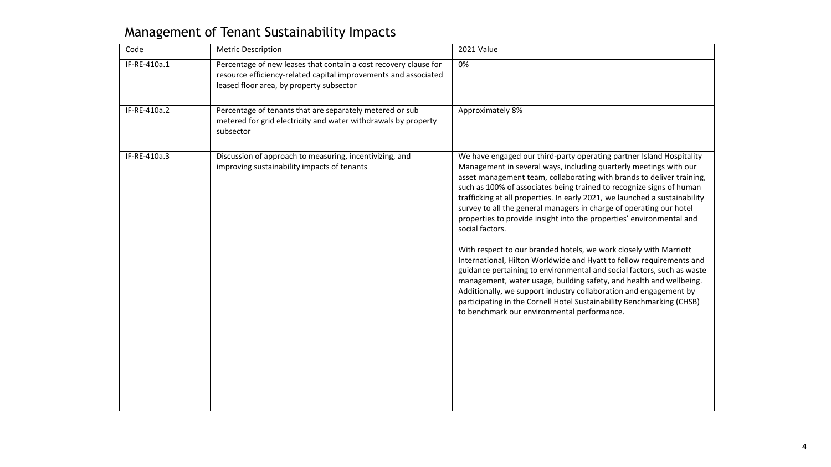## Management of Tenant Sustainability Impacts

| IF-RE-410a.1<br>Percentage of new leases that contain a cost recovery clause for<br>0%<br>resource efficiency-related capital improvements and associated<br>leased floor area, by property subsector |                                                                                                                                                                                                                                                                                                                                                                                                                                                                                                                                                                                                                                                                                                                                                                                                                                                                                                                                                                     |
|-------------------------------------------------------------------------------------------------------------------------------------------------------------------------------------------------------|---------------------------------------------------------------------------------------------------------------------------------------------------------------------------------------------------------------------------------------------------------------------------------------------------------------------------------------------------------------------------------------------------------------------------------------------------------------------------------------------------------------------------------------------------------------------------------------------------------------------------------------------------------------------------------------------------------------------------------------------------------------------------------------------------------------------------------------------------------------------------------------------------------------------------------------------------------------------|
| IF-RE-410a.2<br>Approximately 8%<br>Percentage of tenants that are separately metered or sub<br>metered for grid electricity and water withdrawals by property<br>subsector                           |                                                                                                                                                                                                                                                                                                                                                                                                                                                                                                                                                                                                                                                                                                                                                                                                                                                                                                                                                                     |
| IF-RE-410a.3<br>Discussion of approach to measuring, incentivizing, and<br>improving sustainability impacts of tenants<br>social factors.<br>to benchmark our environmental performance.              | We have engaged our third-party operating partner Island Hospitality<br>Management in several ways, including quarterly meetings with our<br>asset management team, collaborating with brands to deliver training,<br>such as 100% of associates being trained to recognize signs of human<br>trafficking at all properties. In early 2021, we launched a sustainability<br>survey to all the general managers in charge of operating our hotel<br>properties to provide insight into the properties' environmental and<br>With respect to our branded hotels, we work closely with Marriott<br>International, Hilton Worldwide and Hyatt to follow requirements and<br>guidance pertaining to environmental and social factors, such as waste<br>management, water usage, building safety, and health and wellbeing.<br>Additionally, we support industry collaboration and engagement by<br>participating in the Cornell Hotel Sustainability Benchmarking (CHSB) |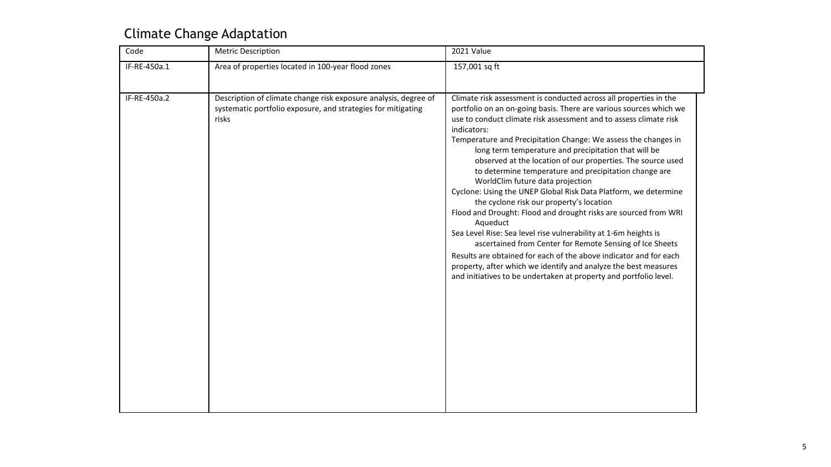## Climate Change Adaptation

| Code         | Metric Description                                                                                                                       | 2021 Value                                                                                                                                                                                                                                                                                                                                                                                                                                                                                                                                                                                                                                                                                                                                                                                                                                                                                                                                                                                                                                                  |
|--------------|------------------------------------------------------------------------------------------------------------------------------------------|-------------------------------------------------------------------------------------------------------------------------------------------------------------------------------------------------------------------------------------------------------------------------------------------------------------------------------------------------------------------------------------------------------------------------------------------------------------------------------------------------------------------------------------------------------------------------------------------------------------------------------------------------------------------------------------------------------------------------------------------------------------------------------------------------------------------------------------------------------------------------------------------------------------------------------------------------------------------------------------------------------------------------------------------------------------|
| IF-RE-450a.1 | Area of properties located in 100-year flood zones                                                                                       | 157,001 sq ft                                                                                                                                                                                                                                                                                                                                                                                                                                                                                                                                                                                                                                                                                                                                                                                                                                                                                                                                                                                                                                               |
| IF-RE-450a.2 | Description of climate change risk exposure analysis, degree of<br>systematic portfolio exposure, and strategies for mitigating<br>risks | Climate risk assessment is conducted across all properties in the<br>portfolio on an on-going basis. There are various sources which we<br>use to conduct climate risk assessment and to assess climate risk<br>indicators:<br>Temperature and Precipitation Change: We assess the changes in<br>long term temperature and precipitation that will be<br>observed at the location of our properties. The source used<br>to determine temperature and precipitation change are<br>WorldClim future data projection<br>Cyclone: Using the UNEP Global Risk Data Platform, we determine<br>the cyclone risk our property's location<br>Flood and Drought: Flood and drought risks are sourced from WRI<br>Aqueduct<br>Sea Level Rise: Sea level rise vulnerability at 1-6m heights is<br>ascertained from Center for Remote Sensing of Ice Sheets<br>Results are obtained for each of the above indicator and for each<br>property, after which we identify and analyze the best measures<br>and initiatives to be undertaken at property and portfolio level. |